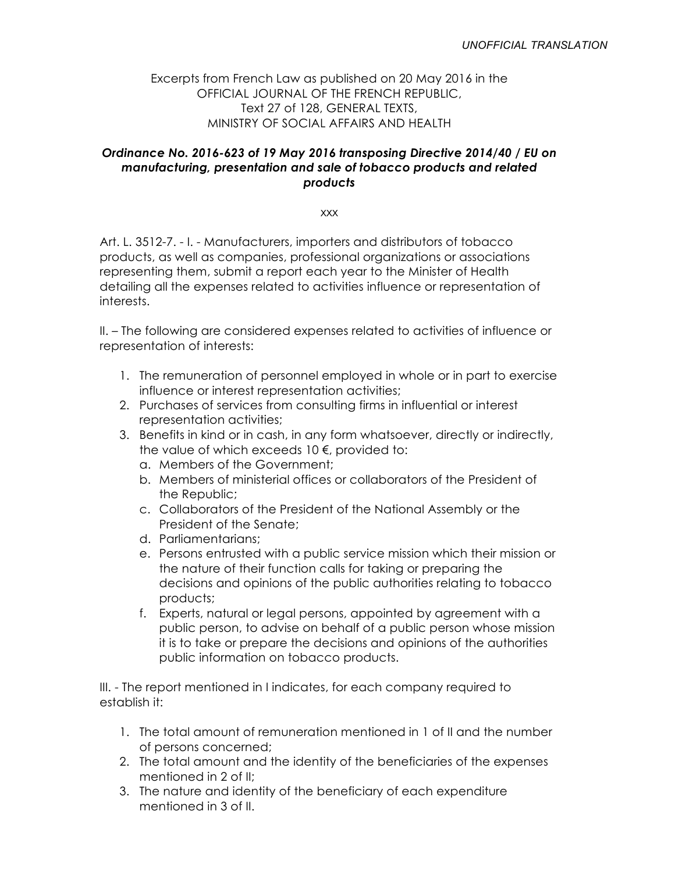# Excerpts from French Law as published on 20 May 2016 in the OFFICIAL JOURNAL OF THE FRENCH REPUBLIC, Text 27 of 128, GENERAL TEXTS, MINISTRY OF SOCIAL AFFAIRS AND HEALTH

# *Ordinance No. 2016-623 of 19 May 2016 transposing Directive 2014/40 / EU on manufacturing, presentation and sale of tobacco products and related products*

xxx

Art. L. 3512-7. - I. - Manufacturers, importers and distributors of tobacco products, as well as companies, professional organizations or associations representing them, submit a report each year to the Minister of Health detailing all the expenses related to activities influence or representation of interests.

II. – The following are considered expenses related to activities of influence or representation of interests:

- 1. The remuneration of personnel employed in whole or in part to exercise influence or interest representation activities;
- 2. Purchases of services from consulting firms in influential or interest representation activities;
- 3. Benefits in kind or in cash, in any form whatsoever, directly or indirectly, the value of which exceeds 10 €, provided to:
	- a. Members of the Government;
	- b. Members of ministerial offices or collaborators of the President of the Republic;
	- c. Collaborators of the President of the National Assembly or the President of the Senate;
	- d. Parliamentarians;
	- e. Persons entrusted with a public service mission which their mission or the nature of their function calls for taking or preparing the decisions and opinions of the public authorities relating to tobacco products;
	- f. Experts, natural or legal persons, appointed by agreement with a public person, to advise on behalf of a public person whose mission it is to take or prepare the decisions and opinions of the authorities public information on tobacco products.

III. - The report mentioned in I indicates, for each company required to establish it:

- 1. The total amount of remuneration mentioned in 1 of II and the number of persons concerned;
- 2. The total amount and the identity of the beneficiaries of the expenses mentioned in 2 of II;
- 3. The nature and identity of the beneficiary of each expenditure mentioned in 3 of II.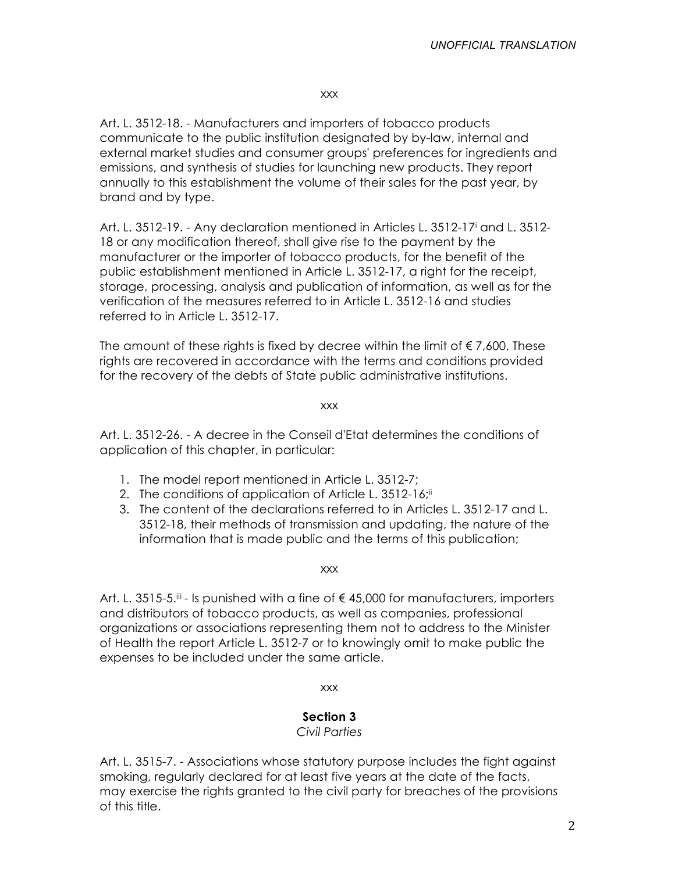### xxx

Art. L. 3512-18. - Manufacturers and importers of tobacco products communicate to the public institution designated by by-law, internal and external market studies and consumer groups' preferences for ingredients and emissions, and synthesis of studies for launching new products. They report annually to this establishment the volume of their sales for the past year, by brand and by type.

Art. L. 3512-19. - Any declaration mentioned in Articles L. 3512-17i and L. 3512- 18 or any modification thereof, shall give rise to the payment by the manufacturer or the importer of tobacco products, for the benefit of the public establishment mentioned in Article L. 3512-17, a right for the receipt, storage, processing, analysis and publication of information, as well as for the verification of the measures referred to in Article L. 3512-16 and studies referred to in Article L. 3512-17.

The amount of these rights is fixed by decree within the limit of  $\epsilon$  7,600. These rights are recovered in accordance with the terms and conditions provided for the recovery of the debts of State public administrative institutions.

xxx

Art. L. 3512-26. - A decree in the Conseil d'Etat determines the conditions of application of this chapter, in particular:

- 1. The model report mentioned in Article L. 3512-7;
- 2. The conditions of application of Article L. 3512-16; in
- 3. The content of the declarations referred to in Articles L. 3512-17 and L. 3512-18, their methods of transmission and updating, the nature of the information that is made public and the terms of this publication;

xxx

Art. L. 3515-5. $^{\text{iii}}$  - Is punished with a fine of  $\in$  45,000 for manufacturers, importers and distributors of tobacco products, as well as companies, professional organizations or associations representing them not to address to the Minister of Health the report Article L. 3512-7 or to knowingly omit to make public the expenses to be included under the same article.

xxx

# **Section 3**

*Civil Parties*

Art. L. 3515-7. - Associations whose statutory purpose includes the fight against smoking, regularly declared for at least five years at the date of the facts, may exercise the rights granted to the civil party for breaches of the provisions of this title.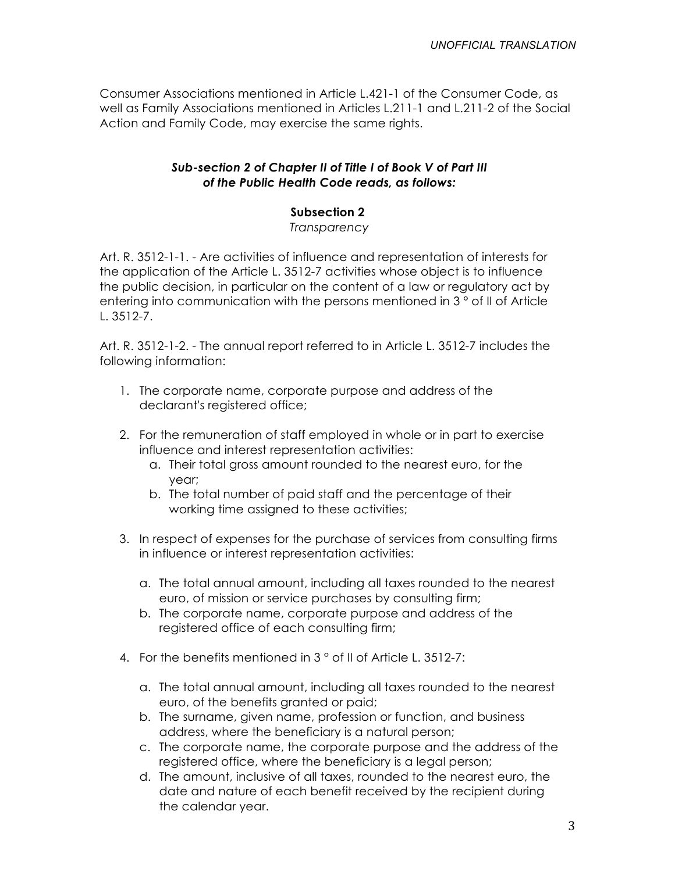Consumer Associations mentioned in Article L.421-1 of the Consumer Code, as well as Family Associations mentioned in Articles L.211-1 and L.211-2 of the Social Action and Family Code, may exercise the same rights.

## *Sub-section 2 of Chapter II of Title I of Book V of Part III of the Public Health Code reads, as follows:*

# **Subsection 2**

*Transparency*

Art. R. 3512-1-1. - Are activities of influence and representation of interests for the application of the Article L. 3512-7 activities whose object is to influence the public decision, in particular on the content of a law or regulatory act by entering into communication with the persons mentioned in 3 ° of II of Article L. 3512-7.

Art. R. 3512-1-2. - The annual report referred to in Article L. 3512-7 includes the following information:

- 1. The corporate name, corporate purpose and address of the declarant's registered office;
- 2. For the remuneration of staff employed in whole or in part to exercise influence and interest representation activities:
	- a. Their total gross amount rounded to the nearest euro, for the year;
	- b. The total number of paid staff and the percentage of their working time assigned to these activities;
- 3. In respect of expenses for the purchase of services from consulting firms in influence or interest representation activities:
	- a. The total annual amount, including all taxes rounded to the nearest euro, of mission or service purchases by consulting firm;
	- b. The corporate name, corporate purpose and address of the registered office of each consulting firm;
- 4. For the benefits mentioned in 3 ° of II of Article L. 3512-7:
	- a. The total annual amount, including all taxes rounded to the nearest euro, of the benefits granted or paid;
	- b. The surname, given name, profession or function, and business address, where the beneficiary is a natural person;
	- c. The corporate name, the corporate purpose and the address of the registered office, where the beneficiary is a legal person;
	- d. The amount, inclusive of all taxes, rounded to the nearest euro, the date and nature of each benefit received by the recipient during the calendar year.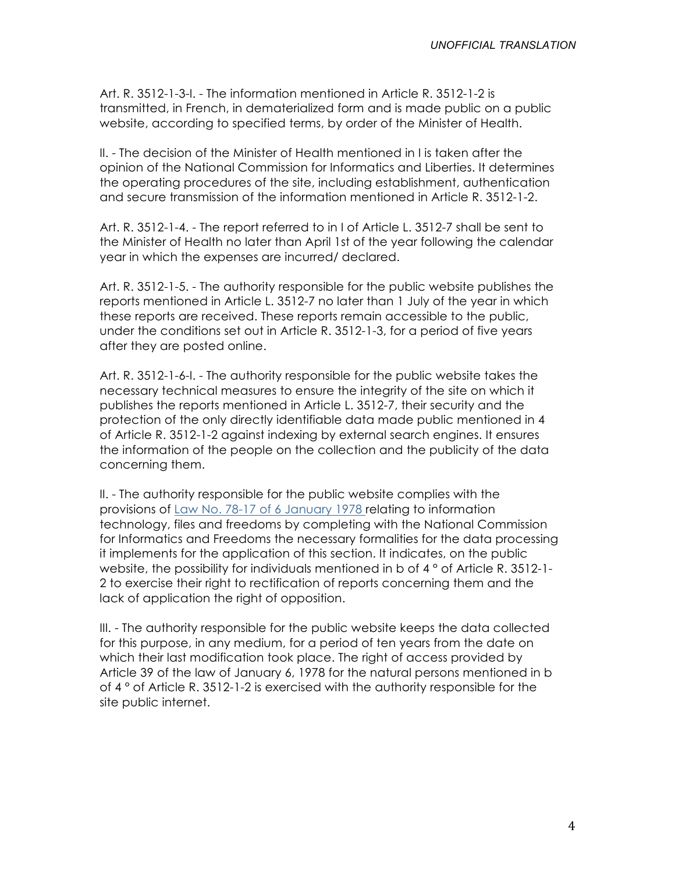Art. R. 3512-1-3-I. - The information mentioned in Article R. 3512-1-2 is transmitted, in French, in dematerialized form and is made public on a public website, according to specified terms, by order of the Minister of Health.

II. - The decision of the Minister of Health mentioned in I is taken after the opinion of the National Commission for Informatics and Liberties. It determines the operating procedures of the site, including establishment, authentication and secure transmission of the information mentioned in Article R. 3512-1-2.

Art. R. 3512-1-4. - The report referred to in I of Article L. 3512-7 shall be sent to the Minister of Health no later than April 1st of the year following the calendar year in which the expenses are incurred/ declared.

Art. R. 3512-1-5. - The authority responsible for the public website publishes the reports mentioned in Article L. 3512-7 no later than 1 July of the year in which these reports are received. These reports remain accessible to the public, under the conditions set out in Article R. 3512-1-3, for a period of five years after they are posted online.

Art. R. 3512-1-6-I. - The authority responsible for the public website takes the necessary technical measures to ensure the integrity of the site on which it publishes the reports mentioned in Article L. 3512-7, their security and the protection of the only directly identifiable data made public mentioned in 4 of Article R. 3512-1-2 against indexing by external search engines. It ensures the information of the people on the collection and the publicity of the data concerning them.

II. - The authority responsible for the public website complies with the provisions of Law No. 78-17 of 6 January 1978 relating to information technology, files and freedoms by completing with the National Commission for Informatics and Freedoms the necessary formalities for the data processing it implements for the application of this section. It indicates, on the public website, the possibility for individuals mentioned in b of 4 ° of Article R. 3512-1-2 to exercise their right to rectification of reports concerning them and the lack of application the right of opposition.

III. - The authority responsible for the public website keeps the data collected for this purpose, in any medium, for a period of ten years from the date on which their last modification took place. The right of access provided by Article 39 of the law of January 6, 1978 for the natural persons mentioned in b of 4 ° of Article R. 3512-1-2 is exercised with the authority responsible for the site public internet.